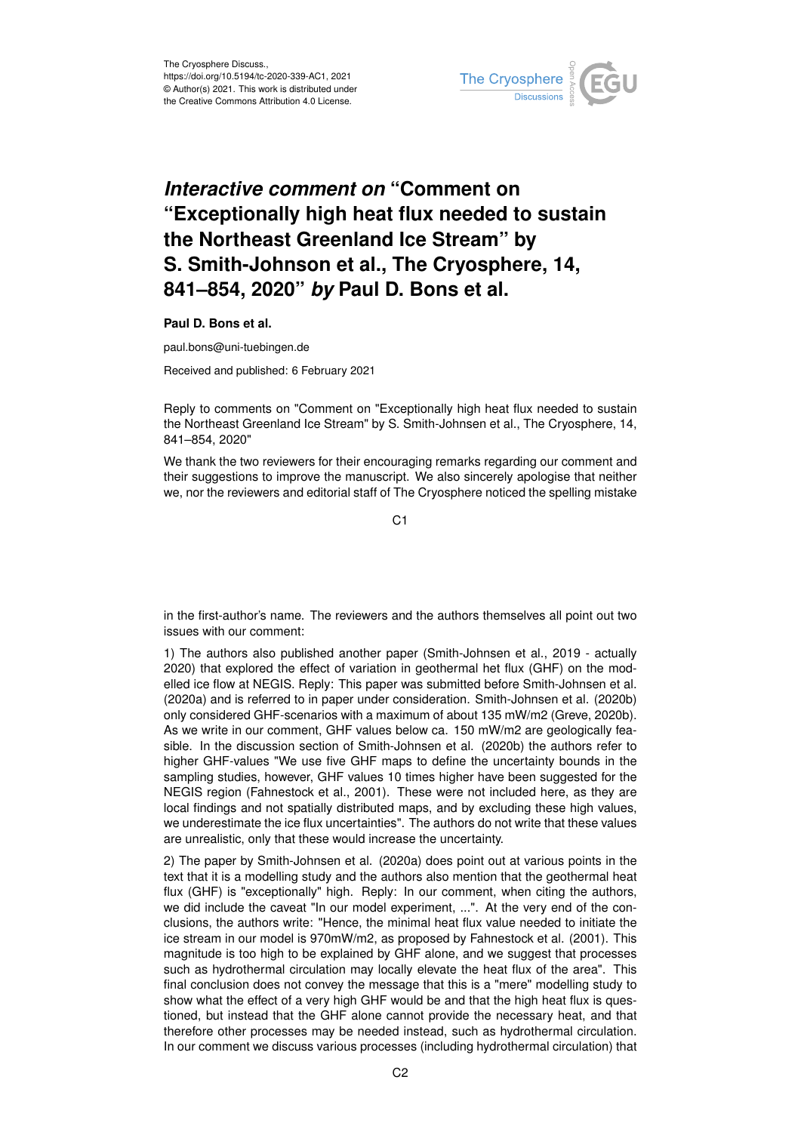

## *Interactive comment on* **"Comment on "Exceptionally high heat flux needed to sustain the Northeast Greenland Ice Stream" by S. Smith-Johnson et al., The Cryosphere, 14, 841–854, 2020"** *by* **Paul D. Bons et al.**

**Paul D. Bons et al.**

paul.bons@uni-tuebingen.de

Received and published: 6 February 2021

Reply to comments on "Comment on "Exceptionally high heat flux needed to sustain the Northeast Greenland Ice Stream" by S. Smith-Johnsen et al., The Cryosphere, 14, 841–854, 2020"

We thank the two reviewers for their encouraging remarks regarding our comment and their suggestions to improve the manuscript. We also sincerely apologise that neither we, nor the reviewers and editorial staff of The Cryosphere noticed the spelling mistake

 $C<sub>1</sub>$ 

in the first-author's name. The reviewers and the authors themselves all point out two issues with our comment:

1) The authors also published another paper (Smith-Johnsen et al., 2019 - actually 2020) that explored the effect of variation in geothermal het flux (GHF) on the modelled ice flow at NEGIS. Reply: This paper was submitted before Smith-Johnsen et al. (2020a) and is referred to in paper under consideration. Smith-Johnsen et al. (2020b) only considered GHF-scenarios with a maximum of about 135 mW/m2 (Greve, 2020b). As we write in our comment, GHF values below ca. 150 mW/m2 are geologically feasible. In the discussion section of Smith-Johnsen et al. (2020b) the authors refer to higher GHF-values "We use five GHF maps to define the uncertainty bounds in the sampling studies, however, GHF values 10 times higher have been suggested for the NEGIS region (Fahnestock et al., 2001). These were not included here, as they are local findings and not spatially distributed maps, and by excluding these high values, we underestimate the ice flux uncertainties". The authors do not write that these values are unrealistic, only that these would increase the uncertainty.

2) The paper by Smith-Johnsen et al. (2020a) does point out at various points in the text that it is a modelling study and the authors also mention that the geothermal heat flux (GHF) is "exceptionally" high. Reply: In our comment, when citing the authors, we did include the caveat "In our model experiment, ...". At the very end of the conclusions, the authors write: "Hence, the minimal heat flux value needed to initiate the ice stream in our model is 970mW/m2, as proposed by Fahnestock et al. (2001). This magnitude is too high to be explained by GHF alone, and we suggest that processes such as hydrothermal circulation may locally elevate the heat flux of the area". This final conclusion does not convey the message that this is a "mere" modelling study to show what the effect of a very high GHF would be and that the high heat flux is questioned, but instead that the GHF alone cannot provide the necessary heat, and that therefore other processes may be needed instead, such as hydrothermal circulation. In our comment we discuss various processes (including hydrothermal circulation) that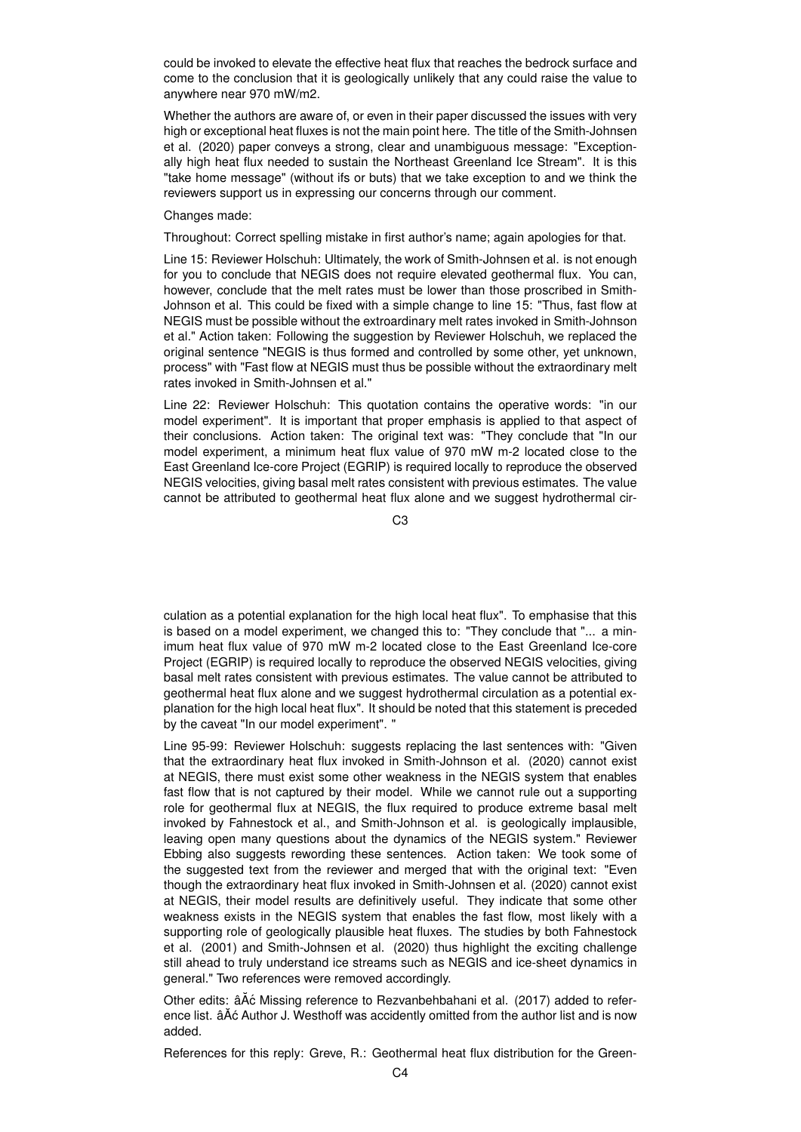could be invoked to elevate the effective heat flux that reaches the bedrock surface and come to the conclusion that it is geologically unlikely that any could raise the value to anywhere near 970 mW/m2.

Whether the authors are aware of, or even in their paper discussed the issues with very high or exceptional heat fluxes is not the main point here. The title of the Smith-Johnsen et al. (2020) paper conveys a strong, clear and unambiguous message: "Exceptionally high heat flux needed to sustain the Northeast Greenland Ice Stream". It is this "take home message" (without ifs or buts) that we take exception to and we think the reviewers support us in expressing our concerns through our comment.

## Changes made:

Throughout: Correct spelling mistake in first author's name; again apologies for that.

Line 15: Reviewer Holschuh: Ultimately, the work of Smith-Johnsen et al. is not enough for you to conclude that NEGIS does not require elevated geothermal flux. You can, however, conclude that the melt rates must be lower than those proscribed in Smith-Johnson et al. This could be fixed with a simple change to line 15: "Thus, fast flow at NEGIS must be possible without the extroardinary melt rates invoked in Smith-Johnson et al." Action taken: Following the suggestion by Reviewer Holschuh, we replaced the original sentence "NEGIS is thus formed and controlled by some other, yet unknown, process" with "Fast flow at NEGIS must thus be possible without the extraordinary melt rates invoked in Smith-Johnsen et al."

Line 22: Reviewer Holschuh: This quotation contains the operative words: "in our model experiment". It is important that proper emphasis is applied to that aspect of their conclusions. Action taken: The original text was: "They conclude that "In our model experiment, a minimum heat flux value of 970 mW m-2 located close to the East Greenland Ice-core Project (EGRIP) is required locally to reproduce the observed NEGIS velocities, giving basal melt rates consistent with previous estimates. The value cannot be attributed to geothermal heat flux alone and we suggest hydrothermal cir-

C3

culation as a potential explanation for the high local heat flux". To emphasise that this is based on a model experiment, we changed this to: "They conclude that "... a minimum heat flux value of 970 mW m-2 located close to the East Greenland Ice-core Project (EGRIP) is required locally to reproduce the observed NEGIS velocities, giving basal melt rates consistent with previous estimates. The value cannot be attributed to geothermal heat flux alone and we suggest hydrothermal circulation as a potential explanation for the high local heat flux". It should be noted that this statement is preceded by the caveat "In our model experiment". "

Line 95-99: Reviewer Holschuh: suggests replacing the last sentences with: "Given that the extraordinary heat flux invoked in Smith-Johnson et al. (2020) cannot exist at NEGIS, there must exist some other weakness in the NEGIS system that enables fast flow that is not captured by their model. While we cannot rule out a supporting role for geothermal flux at NEGIS, the flux required to produce extreme basal melt invoked by Fahnestock et al., and Smith-Johnson et al. is geologically implausible, leaving open many questions about the dynamics of the NEGIS system." Reviewer Ebbing also suggests rewording these sentences. Action taken: We took some of the suggested text from the reviewer and merged that with the original text: "Even though the extraordinary heat flux invoked in Smith-Johnsen et al. (2020) cannot exist at NEGIS, their model results are definitively useful. They indicate that some other weakness exists in the NEGIS system that enables the fast flow, most likely with a supporting role of geologically plausible heat fluxes. The studies by both Fahnestock et al. (2001) and Smith-Johnsen et al. (2020) thus highlight the exciting challenge still ahead to truly understand ice streams such as NEGIS and ice-sheet dynamics in general." Two references were removed accordingly.

Other edits: âĂć Missing reference to Rezvanbehbahani et al. (2017) added to reference list.  $\hat{a}A\hat{c}$  Author J. Westhoff was accidently omitted from the author list and is now added.

References for this reply: Greve, R.: Geothermal heat flux distribution for the Green-